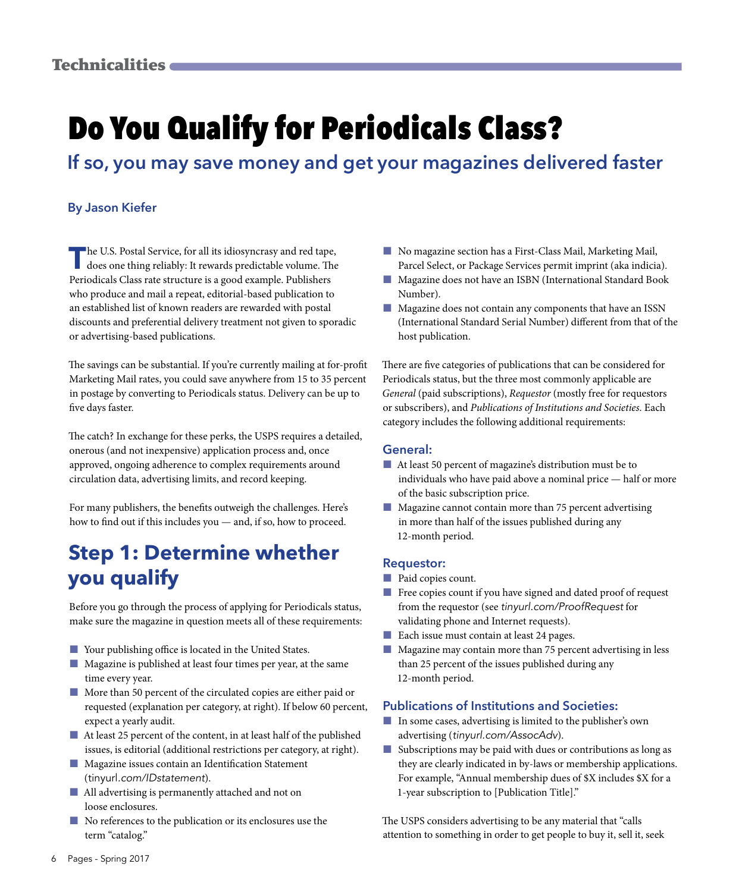# Do You Qualify for Periodicals Class?

**If so, you may save money and get your magazines delivered faster**

#### **By Jason Kiefer**

The U.S. Postal Service, for all its idiosyncrasy and red tape, does one thing reliably: It rewards predictable volume. The Periodicals Class rate structure is a good example. Publishers who produce and mail a repeat, editorial-based publication to an established list of known readers are rewarded with postal discounts and preferential delivery treatment not given to sporadic or advertising-based publications.

The savings can be substantial. If you're currently mailing at for-profit Marketing Mail rates, you could save anywhere from 15 to 35 percent in postage by converting to Periodicals status. Delivery can be up to five days faster.

The catch? In exchange for these perks, the USPS requires a detailed, onerous (and not inexpensive) application process and, once approved, ongoing adherence to complex requirements around circulation data, advertising limits, and record keeping.

For many publishers, the benefits outweigh the challenges. Here's how to find out if this includes you — and, if so, how to proceed.

### **Step 1: Determine whether you qualify**

Before you go through the process of applying for Periodicals status, make sure the magazine in question meets all of these requirements:

- Your publishing office is located in the United States.
- Magazine is published at least four times per year, at the same time every year.
- More than 50 percent of the circulated copies are either paid or requested (explanation per category, at right). If below 60 percent, expect a yearly audit.
- At least 25 percent of the content, in at least half of the published issues, is editorial (additional restrictions per category, at right).
- Magazine issues contain an Identification Statement (tinyurl*.com/IDstatement*).
- All advertising is permanently attached and not on loose enclosures.
- No references to the publication or its enclosures use the term "catalog."
- No magazine section has a First-Class Mail, Marketing Mail, Parcel Select, or Package Services permit imprint (aka indicia).
- Magazine does not have an ISBN (International Standard Book Number).
- Magazine does not contain any components that have an ISSN (International Standard Serial Number) different from that of the host publication.

There are five categories of publications that can be considered for Periodicals status, but the three most commonly applicable are *General* (paid subscriptions), *Requestor* (mostly free for requestors or subscribers), and *Publications of Institutions and Societies*. Each category includes the following additional requirements:

#### **General:**

- At least 50 percent of magazine's distribution must be to individuals who have paid above a nominal price — half or more of the basic subscription price.
- Magazine cannot contain more than 75 percent advertising in more than half of the issues published during any 12-month period.

#### **Requestor:**

- Paid copies count.
- Free copies count if you have signed and dated proof of request from the requestor (see *tinyurl.com/ProofRequest* for validating phone and Internet requests).
- Each issue must contain at least 24 pages.
- Magazine may contain more than 75 percent advertising in less than 25 percent of the issues published during any 12-month period.

#### **Publications of Institutions and Societies:**

- In some cases, advertising is limited to the publisher's own advertising (*tinyurl.com/AssocAdv*).
- Subscriptions may be paid with dues or contributions as long as they are clearly indicated in by-laws or membership applications. For example, "Annual membership dues of \$X includes \$X for a 1-year subscription to [Publication Title]."

The USPS considers advertising to be any material that "calls attention to something in order to get people to buy it, sell it, seek